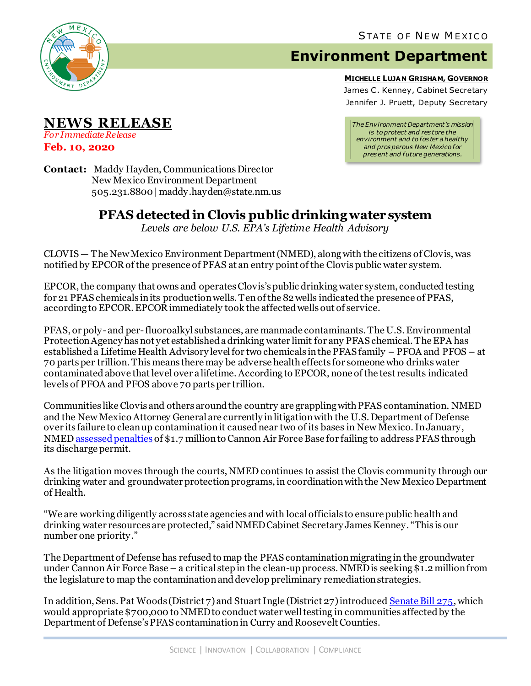

## **Environment Department**

**MICHELLE LUJAN GRISHAM, GOVERNOR**

James C. Kenney, Cabinet Secretary Jennifer J. Pruett, Deputy Secretary

*The Environment Department's mission is to protect and res tore the environment and to fos ter a healthy and pros perous New Mexico for pres ent and future generations.*

**Contact:** Maddy Hayden, Communications Director New Mexico Environment Department 505.231.8800 | maddy.hayden@state.nm.us

## **PFAS detected in Clovis public drinking water system**

*Levels are below U.S. EPA's Lifetime Health Advisory*

CLOVIS — The New Mexico Environment Department (NMED), along with the citizens of Clovis, was notified by EPCOR of the presence of PFAS at an entry point of the Clovis public water system.

EPCOR, the company that owns and operates Clovis's public drinking water system, conducted testing for 21 PFAS chemicals in its production wells. Ten of the 82 wells indicated the presence of PFAS, according to EPCOR. EPCOR immediately took the affected wells out of service.

PFAS, or poly-and per-fluoroalkyl substances, are manmade contaminants. The U.S. Environmental Protection Agency has not yet established a drinking water limit for any PFAS chemical. The EPA has established a Lifetime Health Advisory level for two chemicals in the PFAS family – PFOA and PFOS – at 70 parts per trillion. This means there may be adverse health effects for someone who drinks water contaminated above thatlevel over a lifetime.According to EPCOR, none of the test results indicated levels of PFOA and PFOS above 70 parts per trillion.

Communities like Clovis and others around the country are grappling with PFAS contamination. NMED and the New Mexico Attorney General are currently in litigation with the U.S. Department of Defense over its failure to clean up contamination it caused near two of its bases in New Mexico. In January, NME[D assessed penalties](https://www.env.nm.gov/wp-content/uploads/2020/01/010920-CAFB-compliance-order-PR.pdf) of \$1.7 million to Cannon Air Force Base for failing to address PFAS through its discharge permit.

As the litigation moves through the courts, NMED continues to assist the Clovis community through our drinking water and groundwater protection programs, in coordination with the New Mexico Department of Health.

"We are working diligently across state agencies and with local officials to ensure public health and drinking water resources are protected," said NMED Cabinet Secretary James Kenney. "This is our number one priority."

The Department of Defense has refused to map the PFAS contamination migrating in the groundwater under Cannon Air Force Base – a critical step in the clean-up process. NMED is seeking \$1.2 million from the legislature to map the contamination and develop preliminary remediation strategies.

In addition, Sens. Pat Woods (District 7) and Stuart Ingle (District 27) introduce[d Senate Bill 275](https://www.nmlegis.gov/Legislation/Legislation?chamber=S&legtype=B&legno=275&year=20), which would appropriate \$700,000 to NMED to conduct water well testing in communities affected by the Department of Defense's PFAS contamination in Curry and Roosevelt Counties.

*For Immediate Release* **Feb. 10, 2020**